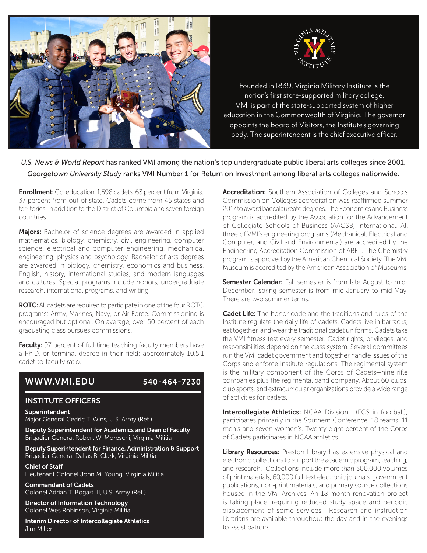



nation's first state-supported military college.<br>Nation's first state-supported military college. VMI is part of the state-supported system of higher education in the Commonwealth of Virginia. The governor appoints the Board of Visitors, the Institute's governing Founded in 1839, Virginia Military Institute is the body. The superintendent is the chief executive officer.

*U.S. News & World Report* has ranked VMI among the nation's top undergraduate public liberal arts colleges since 2001. *Georgetown University Study* ranks VMI Number 1 for Return on Investment among liberal arts colleges nationwide.

**Enrollment:** Co-education, 1,698 cadets, 63 percent from Virginia, 37 percent from out of state. Cadets come from 45 states and territories, in addition to the District of Columbia and seven foreign countries.

Majors: Bachelor of science degrees are awarded in applied mathematics, biology, chemistry, civil engineering, computer science, electrical and computer engineering, mechanical engineering, physics and psychology. Bachelor of arts degrees are awarded in biology, chemistry, economics and business, English, history, international studies, and modern languages and cultures. Special programs include honors, undergraduate research, international programs, and writing.

ROTC: All cadets are required to participate in one of the four ROTC programs: Army, Marines, Navy, or Air Force. Commissioning is encouraged but optional. On average, over 50 percent of each graduating class pursues commissions.

Faculty: 97 percent of full-time teaching faculty members have a Ph.D. or terminal degree in their field; approximately 10.5:1 cadet-to-faculty ratio.

## WWW.VMI.EDU 540-464-7230

### INSTITUTE OFFICERS

Superintendent

Major General Cedric T. Wins, U.S. Army (Ret.)

Deputy Superintendent for Academics and Dean of Faculty Brigadier General Robert W. Moreschi, Virginia Militia

Deputy Superintendent for Finance, Administration & Support Brigadier General Dallas B. Clark, Virginia Militia

Chief of Staff Lieutenant Colonel John M. Young, Virginia Militia

Commandant of Cadets Colonel Adrian T. Bogart III, U.S. Army (Ret.)

Director of Information Technology Colonel Wes Robinson, Virginia Militia

Interim Director of Intercollegiate Athletics Jim Miller

Accreditation: Southern Association of Colleges and Schools Commission on Colleges accreditation was reaffirmed summer 2017 to award baccalaureate degrees. The Economics and Business program is accredited by the Association for the Advancement of Collegiate Schools of Business (AACSB) International. All three of VMI's engineering programs (Mechanical, Electrical and Computer, and Civil and Environmental) are accredited by the Engineering Accreditation Commission of ABET. The Chemistry program is approved by the American Chemical Society. The VMI Museum is accredited by the American Association of Museums.

Semester Calendar: Fall semester is from late August to mid-December; spring semester is from mid-January to mid-May. There are two summer terms.

Cadet Life: The honor code and the traditions and rules of the Institute regulate the daily life of cadets. Cadets live in barracks, eat together, and wear the traditional cadet uniforms. Cadets take the VMI fitness test every semester. Cadet rights, privileges, and responsibilities depend on the class system. Several committees run the VMI cadet government and together handle issues of the Corps and enforce Institute regulations. The regimental system is the military component of the Corps of Cadets—nine rifle companies plus the regimental band company. About 60 clubs, club sports, and extracurricular organizations provide a wide range of activities for cadets.

**Intercollegiate Athletics:** NCAA Division I (FCS in football); participates primarily in the Southern Conference. 18 teams: 11 men's and seven women's. Twenty-eight percent of the Corps of Cadets participates in NCAA athletics.

Library Resources: Preston Library has extensive physical and electronic collections to support the academic program, teaching, and research. Collections include more than 300,000 volumes of print materials, 60,000 full-text electronic journals, government publications, non-print materials, and primary source collections housed in the VMI Archives. An 18-month renovation project is taking place, requiring reduced study space and periodic displacement of some services. Research and instruction librarians are available throughout the day and in the evenings to assist patrons.